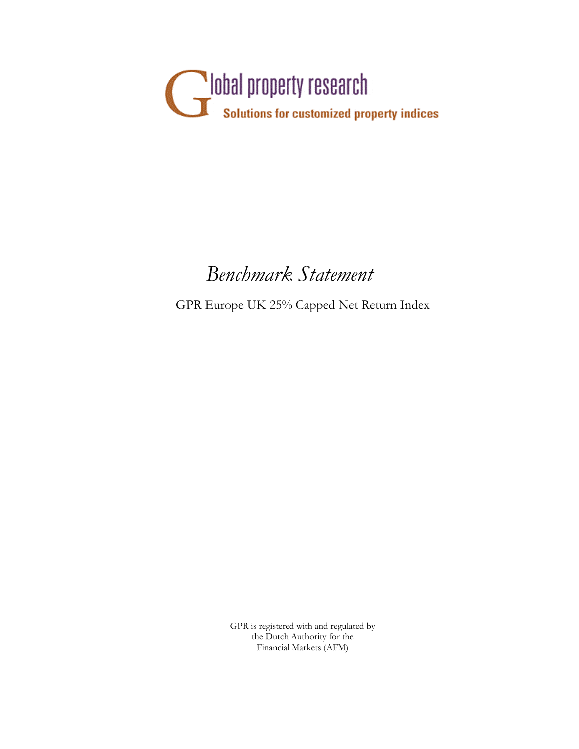

# *Benchmark Statement*

GPR Europe UK 25% Capped Net Return Index

GPR is registered with and regulated by the Dutch Authority for the Financial Markets (AFM)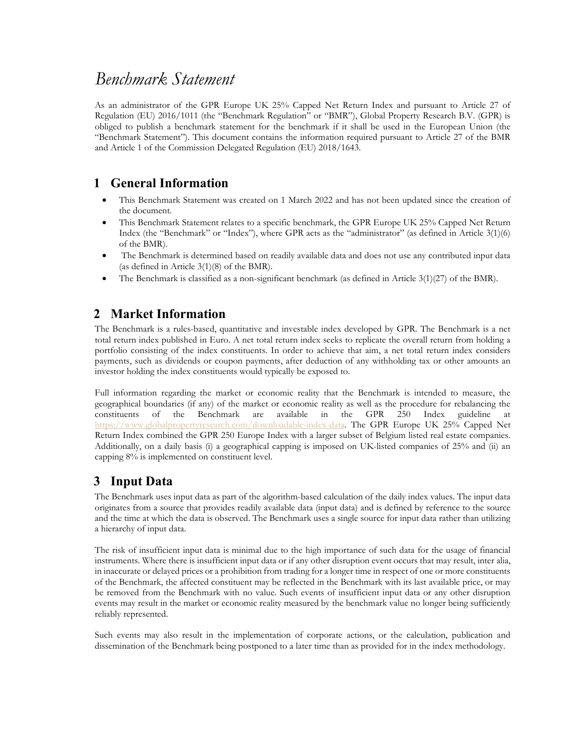# *Benchmark Statement*

As an administrator of the GPR Europe UK 25% Capped Net Return Index and pursuant to Article 27 of Regulation (EU) 2016/1011 (the "Benchmark Regulation" or "BMR"), Global Property Research B.V. (GPR) is obliged to publish a benchmark statement for the benchmark if it shall be used in the European Union (the "Benchmark Statement"). This document contains the information required pursuant to Article 27 of the BMR and Article 1 of the Commission Delegated Regulation (EU) 2018/1643.

#### **1 General Information**

- This Benchmark Statement was created on 1 March 2022 and has not been updated since the creation of the document.
- This Benchmark Statement relates to a specific benchmark, the GPR Europe UK 25% Capped Net Return Index (the "Benchmark" or "Index"), where GPR acts as the "administrator" (as defined in Article 3(1)(6) of the BMR).
- The Benchmark is determined based on readily available data and does not use any contributed input data (as defined in Article 3(1)(8) of the BMR).
- The Benchmark is classified as a non-significant benchmark (as defined in Article 3(1)(27) of the BMR).

#### **2 Market Information**

The Benchmark is a rules-based, quantitative and investable index developed by GPR. The Benchmark is a net total return index published in Euro. A net total return index seeks to replicate the overall return from holding a portfolio consisting of the index constituents. In order to achieve that aim, a net total return index considers payments, such as dividends or coupon payments, after deduction of any withholding tax or other amounts an investor holding the index constituents would typically be exposed to.

Full information regarding the market or economic reality that the Benchmark is intended to measure, the geographical boundaries (if any) of the market or economic reality as well as the procedure for rebalancing the constituents of the Benchmark are available in the GPR 250 Index guideline at https://www.globalpropertyresearch.com/downloadable-index-data. The GPR Europe UK 25% Capped Net Return Index combined the GPR 250 Europe Index with a larger subset of Belgium listed real estate companies. Additionally, on a daily basis (i) a geographical capping is imposed on UK-listed companies of 25% and (ii) an capping 8% is implemented on constituent level.

#### **3 Input Data**

The Benchmark uses input data as part of the algorithm-based calculation of the daily index values. The input data originates from a source that provides readily available data (input data) and is defined by reference to the source and the time at which the data is observed. The Benchmark uses a single source for input data rather than utilizing a hierarchy of input data.

The risk of insufficient input data is minimal due to the high importance of such data for the usage of financial instruments. Where there is insufficient input data or if any other disruption event occurs that may result, inter alia, in inaccurate or delayed prices or a prohibition from trading for a longer time in respect of one or more constituents of the Benchmark, the affected constituent may be reflected in the Benchmark with its last available price, or may be removed from the Benchmark with no value. Such events of insufficient input data or any other disruption events may result in the market or economic reality measured by the benchmark value no longer being sufficiently reliably represented.

Such events may also result in the implementation of corporate actions, or the calculation, publication and dissemination of the Benchmark being postponed to a later time than as provided for in the index methodology.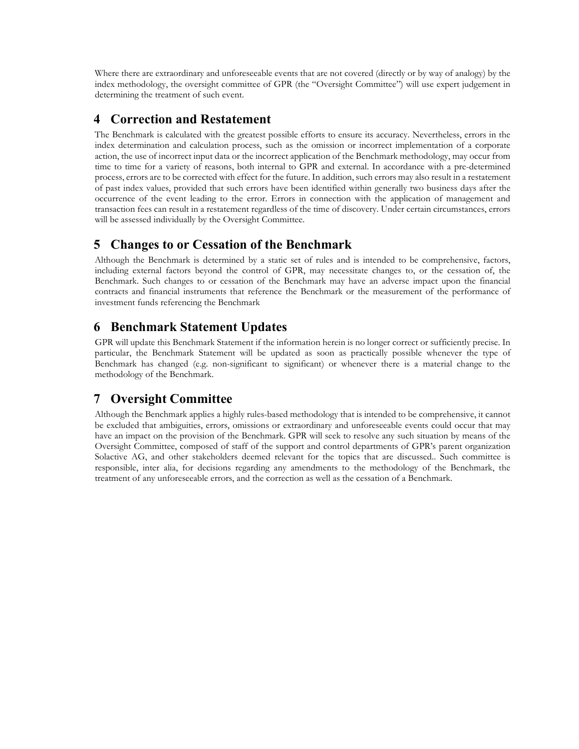Where there are extraordinary and unforeseeable events that are not covered (directly or by way of analogy) by the index methodology, the oversight committee of GPR (the "Oversight Committee") will use expert judgement in determining the treatment of such event.

#### **4 Correction and Restatement**

The Benchmark is calculated with the greatest possible efforts to ensure its accuracy. Nevertheless, errors in the index determination and calculation process, such as the omission or incorrect implementation of a corporate action, the use of incorrect input data or the incorrect application of the Benchmark methodology, may occur from time to time for a variety of reasons, both internal to GPR and external. In accordance with a pre-determined process, errors are to be corrected with effect for the future. In addition, such errors may also result in a restatement of past index values, provided that such errors have been identified within generally two business days after the occurrence of the event leading to the error. Errors in connection with the application of management and transaction fees can result in a restatement regardless of the time of discovery. Under certain circumstances, errors will be assessed individually by the Oversight Committee.

#### **5 Changes to or Cessation of the Benchmark**

Although the Benchmark is determined by a static set of rules and is intended to be comprehensive, factors, including external factors beyond the control of GPR, may necessitate changes to, or the cessation of, the Benchmark. Such changes to or cessation of the Benchmark may have an adverse impact upon the financial contracts and financial instruments that reference the Benchmark or the measurement of the performance of investment funds referencing the Benchmark

## **6 Benchmark Statement Updates**

GPR will update this Benchmark Statement if the information herein is no longer correct or sufficiently precise. In particular, the Benchmark Statement will be updated as soon as practically possible whenever the type of Benchmark has changed (e.g. non-significant to significant) or whenever there is a material change to the methodology of the Benchmark.

### **7 Oversight Committee**

Although the Benchmark applies a highly rules-based methodology that is intended to be comprehensive, it cannot be excluded that ambiguities, errors, omissions or extraordinary and unforeseeable events could occur that may have an impact on the provision of the Benchmark. GPR will seek to resolve any such situation by means of the Oversight Committee, composed of staff of the support and control departments of GPR's parent organization Solactive AG, and other stakeholders deemed relevant for the topics that are discussed.. Such committee is responsible, inter alia, for decisions regarding any amendments to the methodology of the Benchmark, the treatment of any unforeseeable errors, and the correction as well as the cessation of a Benchmark.